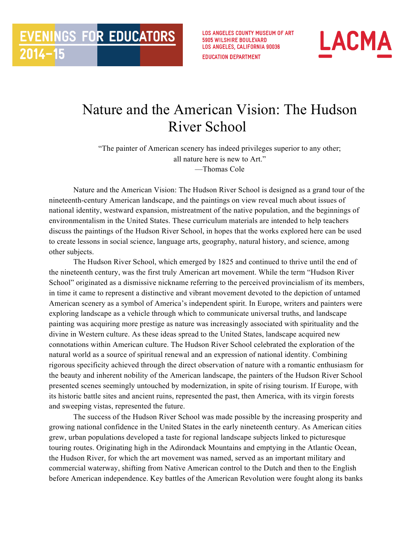**LOS ANGELES COUNTY MUSEUM OF ART 5905 WILSHIRE BOULEVARD LOS ANGELES, CALIFORNIA 90036 EDUCATION DEPARTMENT** 



## Nature and the American Vision: The Hudson River School

**EVENINGS FOR EDUCATORS** 

 $2014 - 15$ 

"The painter of American scenery has indeed privileges superior to any other; all nature here is new to Art." —Thomas Cole

Nature and the American Vision: The Hudson River School is designed as a grand tour of the nineteenth-century American landscape, and the paintings on view reveal much about issues of national identity, westward expansion, mistreatment of the native population, and the beginnings of environmentalism in the United States. These curriculum materials are intended to help teachers discuss the paintings of the Hudson River School, in hopes that the works explored here can be used to create lessons in social science, language arts, geography, natural history, and science, among other subjects.

The Hudson River School, which emerged by 1825 and continued to thrive until the end of the nineteenth century, was the first truly American art movement. While the term "Hudson River School" originated as a dismissive nickname referring to the perceived provincialism of its members, in time it came to represent a distinctive and vibrant movement devoted to the depiction of untamed American scenery as a symbol of America's independent spirit. In Europe, writers and painters were exploring landscape as a vehicle through which to communicate universal truths, and landscape painting was acquiring more prestige as nature was increasingly associated with spirituality and the divine in Western culture. As these ideas spread to the United States, landscape acquired new connotations within American culture. The Hudson River School celebrated the exploration of the natural world as a source of spiritual renewal and an expression of national identity. Combining rigorous specificity achieved through the direct observation of nature with a romantic enthusiasm for the beauty and inherent nobility of the American landscape, the painters of the Hudson River School presented scenes seemingly untouched by modernization, in spite of rising tourism. If Europe, with its historic battle sites and ancient ruins, represented the past, then America, with its virgin forests and sweeping vistas, represented the future.

The success of the Hudson River School was made possible by the increasing prosperity and growing national confidence in the United States in the early nineteenth century. As American cities grew, urban populations developed a taste for regional landscape subjects linked to picturesque touring routes. Originating high in the Adirondack Mountains and emptying in the Atlantic Ocean, the Hudson River, for which the art movement was named, served as an important military and commercial waterway, shifting from Native American control to the Dutch and then to the English before American independence. Key battles of the American Revolution were fought along its banks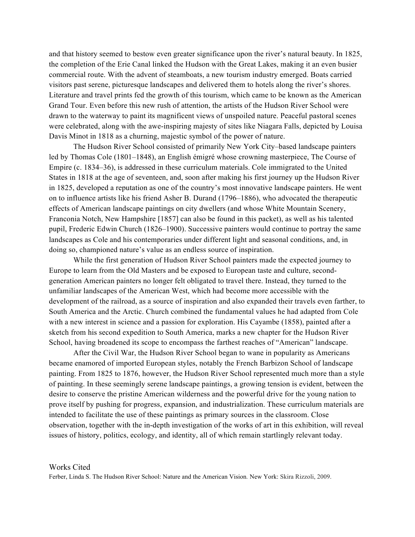and that history seemed to bestow even greater significance upon the river's natural beauty. In 1825, the completion of the Erie Canal linked the Hudson with the Great Lakes, making it an even busier commercial route. With the advent of steamboats, a new tourism industry emerged. Boats carried visitors past serene, picturesque landscapes and delivered them to hotels along the river's shores. Literature and travel prints fed the growth of this tourism, which came to be known as the American Grand Tour. Even before this new rush of attention, the artists of the Hudson River School were drawn to the waterway to paint its magnificent views of unspoiled nature. Peaceful pastoral scenes were celebrated, along with the awe-inspiring majesty of sites like Niagara Falls, depicted by Louisa Davis Minot in 1818 as a churning, majestic symbol of the power of nature.

The Hudson River School consisted of primarily New York City–based landscape painters led by Thomas Cole (1801–1848), an English émigré whose crowning masterpiece, The Course of Empire (c. 1834–36), is addressed in these curriculum materials. Cole immigrated to the United States in 1818 at the age of seventeen, and, soon after making his first journey up the Hudson River in 1825, developed a reputation as one of the country's most innovative landscape painters. He went on to influence artists like his friend Asher B. Durand (1796–1886), who advocated the therapeutic effects of American landscape paintings on city dwellers (and whose White Mountain Scenery, Franconia Notch, New Hampshire [1857] can also be found in this packet), as well as his talented pupil, Frederic Edwin Church (1826–1900). Successive painters would continue to portray the same landscapes as Cole and his contemporaries under different light and seasonal conditions, and, in doing so, championed nature's value as an endless source of inspiration.

While the first generation of Hudson River School painters made the expected journey to Europe to learn from the Old Masters and be exposed to European taste and culture, secondgeneration American painters no longer felt obligated to travel there. Instead, they turned to the unfamiliar landscapes of the American West, which had become more accessible with the development of the railroad, as a source of inspiration and also expanded their travels even farther, to South America and the Arctic. Church combined the fundamental values he had adapted from Cole with a new interest in science and a passion for exploration. His Cayambe (1858), painted after a sketch from his second expedition to South America, marks a new chapter for the Hudson River School, having broadened its scope to encompass the farthest reaches of "American" landscape.

After the Civil War, the Hudson River School began to wane in popularity as Americans became enamored of imported European styles, notably the French Barbizon School of landscape painting. From 1825 to 1876, however, the Hudson River School represented much more than a style of painting. In these seemingly serene landscape paintings, a growing tension is evident, between the desire to conserve the pristine American wilderness and the powerful drive for the young nation to prove itself by pushing for progress, expansion, and industrialization. These curriculum materials are intended to facilitate the use of these paintings as primary sources in the classroom. Close observation, together with the in-depth investigation of the works of art in this exhibition, will reveal issues of history, politics, ecology, and identity, all of which remain startlingly relevant today.